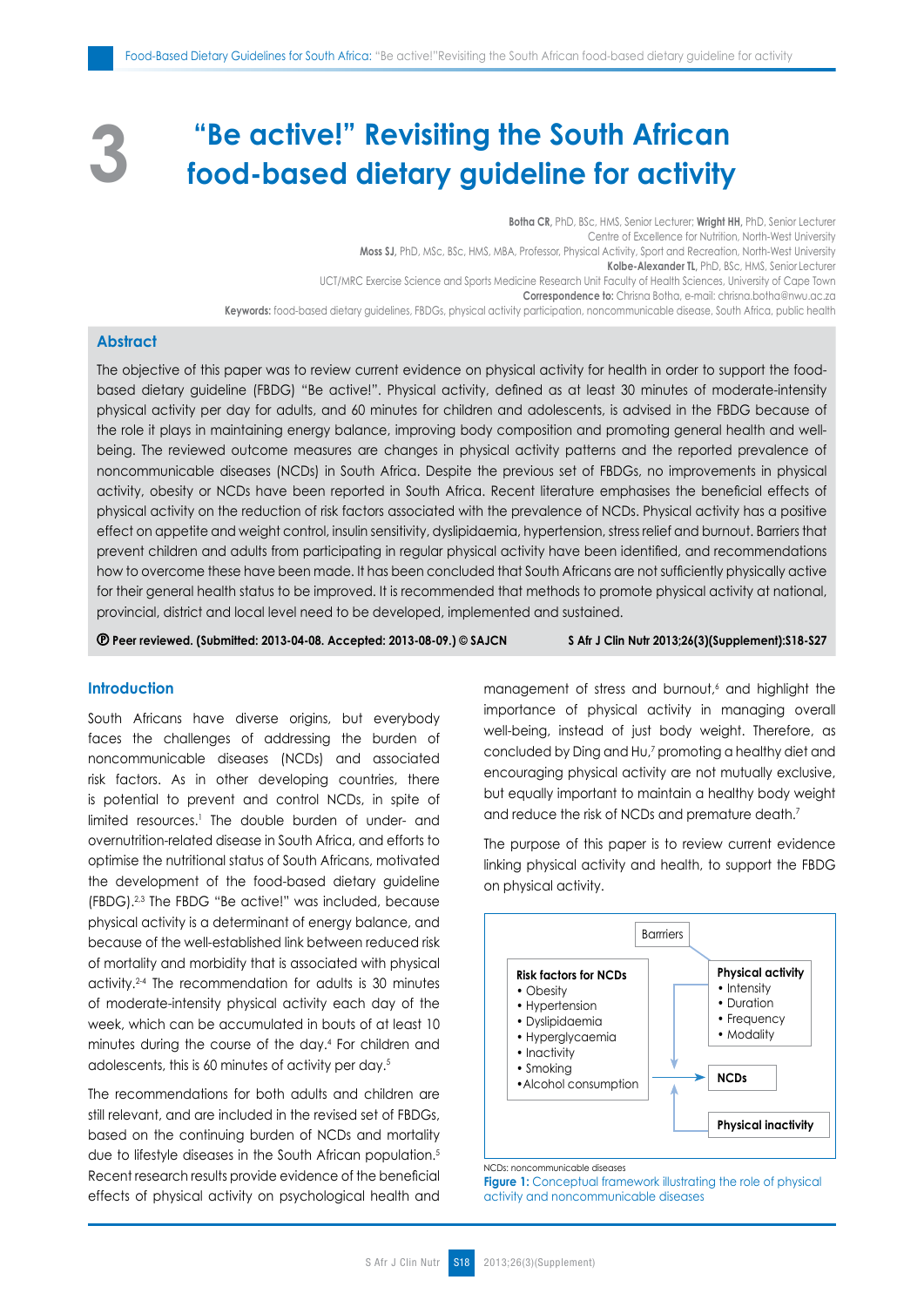# **"Be active!" Revisiting the South African food-based dietary guideline for activity**

**Botha CR,** PhD, BSc, HMS, Senior Lecturer; **Wright HH,** PhD, Senior Lecturer Centre of Excellence for Nutrition, North-West University **Moss SJ,** PhD, MSc, BSc, HMS, MBA, Professor, Physical Activity, Sport and Recreation, North-West University **Kolbe-Alexander TL,** PhD, BSc, HMS, Senior Lecturer UCT/MRC Exercise Science and Sports Medicine Research Unit Faculty of Health Sciences, University of Cape Town **Correspondence to:** Chrisna Botha, e-mail: chrisna.botha@nwu.ac.za **Keywords:** food-based dietary guidelines, FBDGs, physical activity participation, noncommunicable disease, South Africa, public health

## **Abstract**

**3**

The objective of this paper was to review current evidence on physical activity for health in order to support the foodbased dietary guideline (FBDG) "Be active!". Physical activity, defined as at least 30 minutes of moderate-intensity physical activity per day for adults, and 60 minutes for children and adolescents, is advised in the FBDG because of the role it plays in maintaining energy balance, improving body composition and promoting general health and wellbeing. The reviewed outcome measures are changes in physical activity patterns and the reported prevalence of noncommunicable diseases (NCDs) in South Africa. Despite the previous set of FBDGs, no improvements in physical activity, obesity or NCDs have been reported in South Africa. Recent literature emphasises the beneficial effects of physical activity on the reduction of risk factors associated with the prevalence of NCDs. Physical activity has a positive effect on appetite and weight control, insulin sensitivity, dyslipidaemia, hypertension, stress relief and burnout. Barriers that prevent children and adults from participating in regular physical activity have been identified, and recommendations how to overcome these have been made. It has been concluded that South Africans are not sufficiently physically active for their general health status to be improved. It is recommended that methods to promote physical activity at national, provincial, district and local level need to be developed, implemented and sustained.

 **Peer reviewed. (Submitted: 2013-04-08. Accepted: 2013-08-09.) © SAJCN S Afr J Clin Nutr 2013;26(3)(Supplement):S18-S27**

### **Introduction**

South Africans have diverse origins, but everybody faces the challenges of addressing the burden of noncommunicable diseases (NCDs) and associated risk factors. As in other developing countries, there is potential to prevent and control NCDs, in spite of limited resources.<sup>1</sup> The double burden of under- and overnutrition-related disease in South Africa, and efforts to optimise the nutritional status of South Africans, motivated the development of the food-based dietary guideline (FBDG).2,3 The FBDG "Be active!" was included, because physical activity is a determinant of energy balance, and because of the well-established link between reduced risk of mortality and morbidity that is associated with physical activity.2-4 The recommendation for adults is 30 minutes of moderate-intensity physical activity each day of the week, which can be accumulated in bouts of at least 10 minutes during the course of the day.4 For children and adolescents, this is 60 minutes of activity per day.5

The recommendations for both adults and children are still relevant, and are included in the revised set of FBDGs, based on the continuing burden of NCDs and mortality due to lifestyle diseases in the South African population.<sup>5</sup> Recent research results provide evidence of the beneficial effects of physical activity on psychological health and

management of stress and burnout,<sup>6</sup> and highlight the importance of physical activity in managing overall well-being, instead of just body weight. Therefore, as concluded by Ding and Hu,<sup>7</sup> promoting a healthy diet and encouraging physical activity are not mutually exclusive, but equally important to maintain a healthy body weight and reduce the risk of NCDs and premature death.7

The purpose of this paper is to review current evidence linking physical activity and health, to support the FBDG on physical activity.



NCDs: noncommunicable diseases

**Figure 1:** Conceptual framework illustrating the role of physical activity and noncommunicable diseases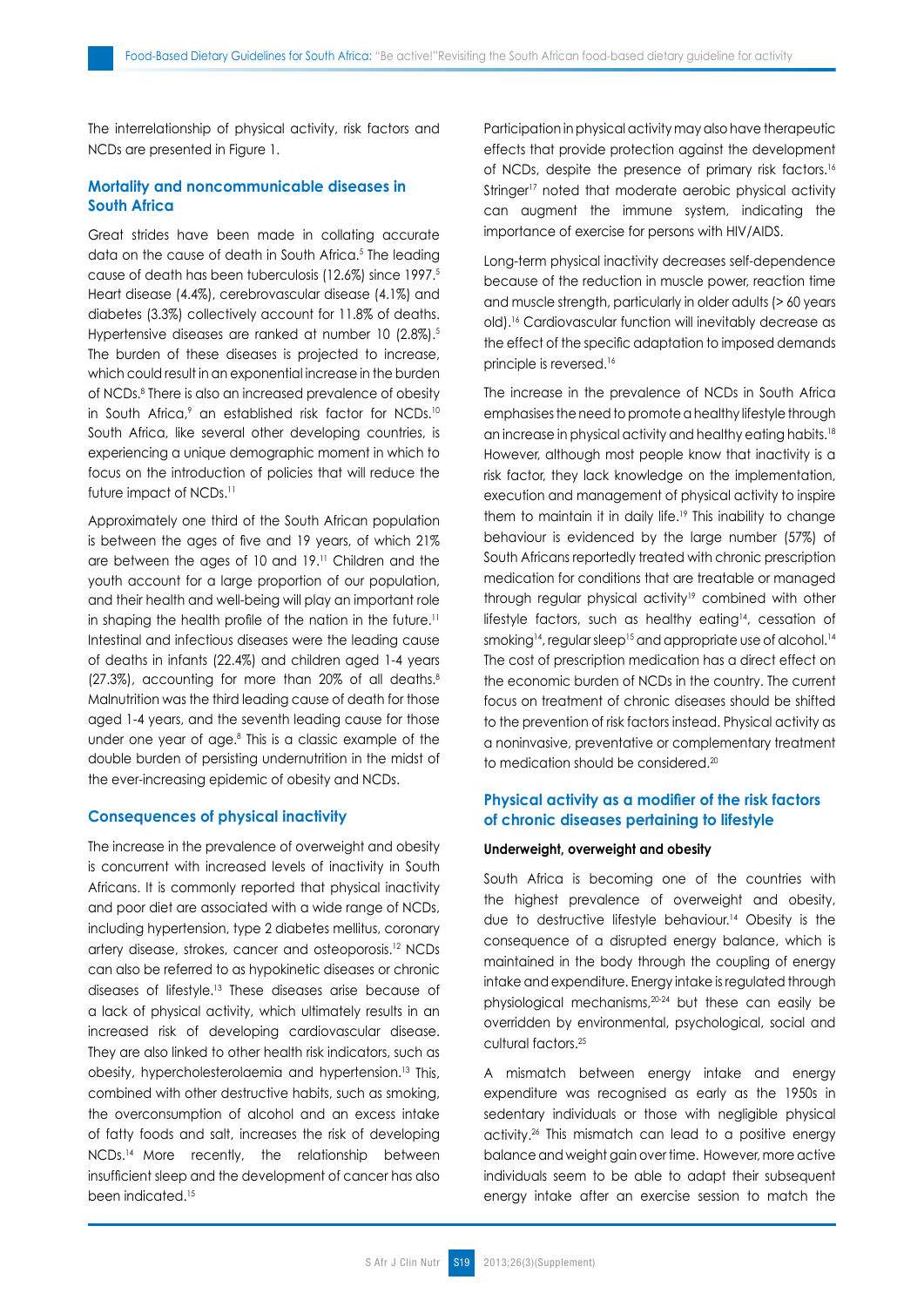The interrelationship of physical activity, risk factors and NCDs are presented in Figure 1.

## **Mortality and noncommunicable diseases in South Africa**

Great strides have been made in collating accurate data on the cause of death in South Africa.<sup>5</sup> The leading cause of death has been tuberculosis (12.6%) since 1997.5 Heart disease (4.4%), cerebrovascular disease (4.1%) and diabetes (3.3%) collectively account for 11.8% of deaths. Hypertensive diseases are ranked at number 10 (2.8%).<sup>5</sup> The burden of these diseases is projected to increase, which could result in an exponential increase in the burden of NCDs.8 There is also an increased prevalence of obesity in South Africa,<sup>9</sup> an established risk factor for NCDs.<sup>10</sup> South Africa, like several other developing countries, is experiencing a unique demographic moment in which to focus on the introduction of policies that will reduce the future impact of NCDs.<sup>11</sup>

Approximately one third of the South African population is between the ages of five and 19 years, of which 21% are between the ages of 10 and 19.11 Children and the youth account for a large proportion of our population, and their health and well-being will play an important role in shaping the health profile of the nation in the future.<sup>11</sup> Intestinal and infectious diseases were the leading cause of deaths in infants (22.4%) and children aged 1-4 years  $(27.3\%)$ , accounting for more than 20% of all deaths.<sup>8</sup> Malnutrition was the third leading cause of death for those aged 1-4 years, and the seventh leading cause for those under one year of age.8 This is a classic example of the double burden of persisting undernutrition in the midst of the ever-increasing epidemic of obesity and NCDs.

#### **Consequences of physical inactivity**

The increase in the prevalence of overweight and obesity is concurrent with increased levels of inactivity in South Africans. It is commonly reported that physical inactivity and poor diet are associated with a wide range of NCDs, including hypertension, type 2 diabetes mellitus, coronary artery disease, strokes, cancer and osteoporosis.12 NCDs can also be referred to as hypokinetic diseases or chronic diseases of lifestyle.13 These diseases arise because of a lack of physical activity, which ultimately results in an increased risk of developing cardiovascular disease. They are also linked to other health risk indicators, such as obesity, hypercholesterolaemia and hypertension.13 This, combined with other destructive habits, such as smoking, the overconsumption of alcohol and an excess intake of fatty foods and salt, increases the risk of developing NCDs.14 More recently, the relationship between insufficient sleep and the development of cancer has also been indicated.<sup>15</sup>

Participation in physical activity may also have therapeutic effects that provide protection against the development of NCDs, despite the presence of primary risk factors.<sup>16</sup> Stringer<sup>17</sup> noted that moderate aerobic physical activity can augment the immune system, indicating the importance of exercise for persons with HIV/AIDS.

Long-term physical inactivity decreases self-dependence because of the reduction in muscle power, reaction time and muscle strength, particularly in older adults (> 60 years old).16 Cardiovascular function will inevitably decrease as the effect of the specific adaptation to imposed demands principle is reversed.16

The increase in the prevalence of NCDs in South Africa emphasises the need to promote a healthy lifestyle through an increase in physical activity and healthy eating habits.18 However, although most people know that inactivity is a risk factor, they lack knowledge on the implementation, execution and management of physical activity to inspire them to maintain it in daily life.<sup>19</sup> This inability to change behaviour is evidenced by the large number (57%) of South Africans reportedly treated with chronic prescription medication for conditions that are treatable or managed through regular physical activity<sup>19</sup> combined with other lifestyle factors, such as healthy eating<sup>14</sup>, cessation of smoking<sup>14</sup>, regular sleep<sup>15</sup> and appropriate use of alcohol.<sup>14</sup> The cost of prescription medication has a direct effect on the economic burden of NCDs in the country. The current focus on treatment of chronic diseases should be shifted to the prevention of risk factors instead. Physical activity as a noninvasive, preventative or complementary treatment to medication should be considered.<sup>20</sup>

## **Physical activity as a modifier of the risk factors of chronic diseases pertaining to lifestyle**

#### **Underweight, overweight and obesity**

South Africa is becoming one of the countries with the highest prevalence of overweight and obesity, due to destructive lifestyle behaviour.14 Obesity is the consequence of a disrupted energy balance, which is maintained in the body through the coupling of energy intake and expenditure. Energy intake is regulated through physiological mechanisms,20-24 but these can easily be overridden by environmental, psychological, social and cultural factors.25

A mismatch between energy intake and energy expenditure was recognised as early as the 1950s in sedentary individuals or those with negligible physical activity.26 This mismatch can lead to a positive energy balance and weight gain over time. However, more active individuals seem to be able to adapt their subsequent energy intake after an exercise session to match the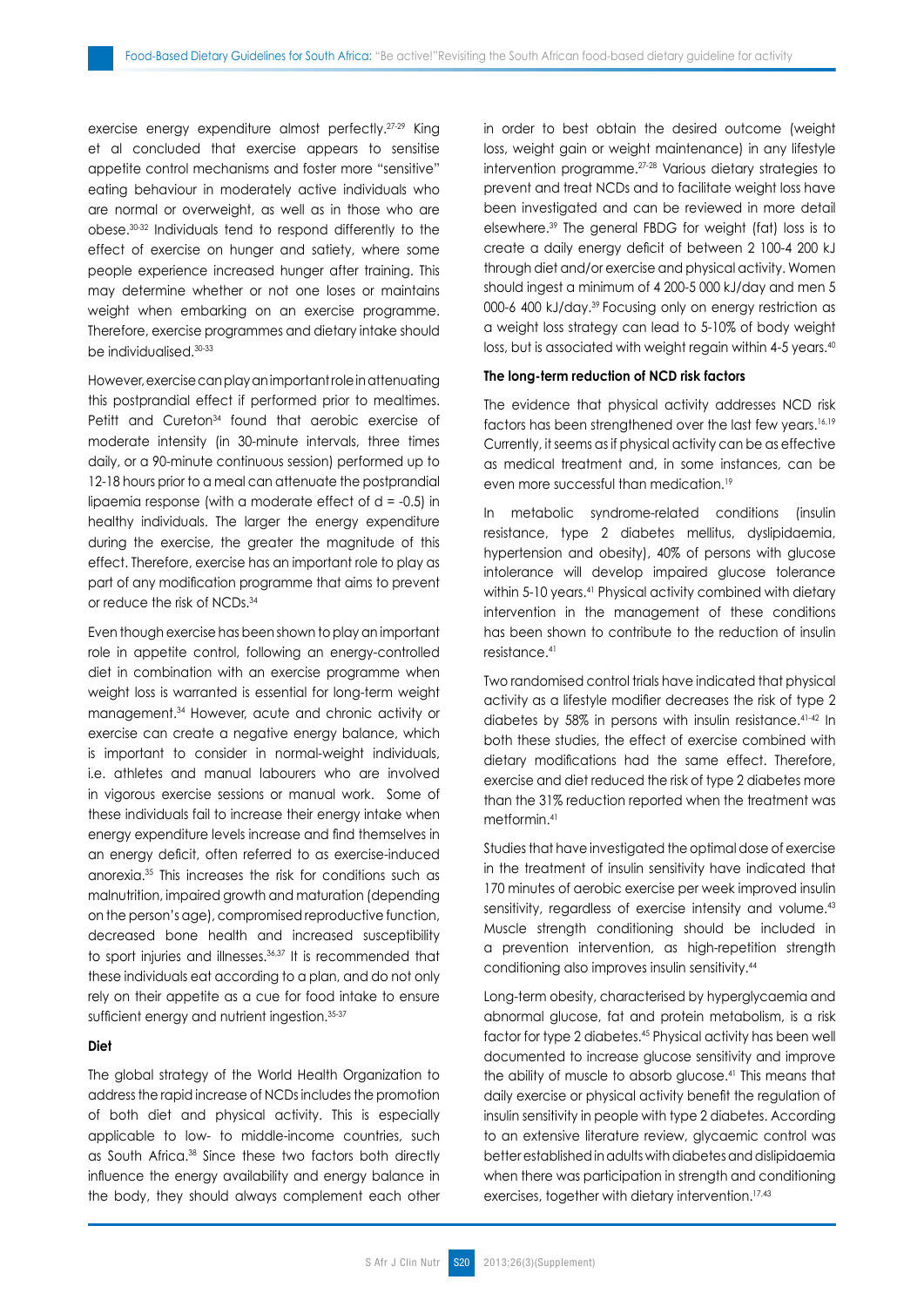exercise energy expenditure almost perfectly.27-29 King et al concluded that exercise appears to sensitise appetite control mechanisms and foster more "sensitive" eating behaviour in moderately active individuals who are normal or overweight, as well as in those who are obese.30-32 Individuals tend to respond differently to the effect of exercise on hunger and satiety, where some people experience increased hunger after training. This may determine whether or not one loses or maintains weight when embarking on an exercise programme. Therefore, exercise programmes and dietary intake should be individualised.30-33

However, exercise can play an important role in attenuating this postprandial effect if performed prior to mealtimes. Petitt and Cureton<sup>34</sup> found that aerobic exercise of moderate intensity (in 30-minute intervals, three times daily, or a 90-minute continuous session) performed up to 12-18 hours prior to a meal can attenuate the postprandial lipaemia response (with a moderate effect of  $d = -0.5$ ) in healthy individuals. The larger the energy expenditure during the exercise, the greater the magnitude of this effect. Therefore, exercise has an important role to play as part of any modification programme that aims to prevent or reduce the risk of NCDs.<sup>34</sup>

Even though exercise has been shown to play an important role in appetite control, following an energy-controlled diet in combination with an exercise programme when weight loss is warranted is essential for long-term weight management.34 However, acute and chronic activity or exercise can create a negative energy balance, which is important to consider in normal-weight individuals, i.e. athletes and manual labourers who are involved in vigorous exercise sessions or manual work. Some of these individuals fail to increase their energy intake when energy expenditure levels increase and find themselves in an energy deficit, often referred to as exercise-induced anorexia.35 This increases the risk for conditions such as malnutrition, impaired growth and maturation (depending on the person's age), compromised reproductive function, decreased bone health and increased susceptibility to sport injuries and illnesses.<sup>36,37</sup> It is recommended that these individuals eat according to a plan, and do not only rely on their appetite as a cue for food intake to ensure sufficient energy and nutrient ingestion.<sup>35-37</sup>

#### **Diet**

The global strategy of the World Health Organization to address the rapid increase of NCDs includes the promotion of both diet and physical activity. This is especially applicable to low- to middle-income countries, such as South Africa.38 Since these two factors both directly influence the energy availability and energy balance in the body, they should always complement each other in order to best obtain the desired outcome (weight loss, weight gain or weight maintenance) in any lifestyle intervention programme.27-28 Various dietary strategies to prevent and treat NCDs and to facilitate weight loss have been investigated and can be reviewed in more detail elsewhere.39 The general FBDG for weight (fat) loss is to create a daily energy deficit of between 2 100-4 200 kJ through diet and/or exercise and physical activity. Women should ingest a minimum of 4 200-5 000 kJ/day and men 5 000-6 400 kJ/day.39 Focusing only on energy restriction as a weight loss strategy can lead to 5-10% of body weight loss, but is associated with weight regain within 4-5 years.<sup>40</sup>

#### **The long-term reduction of NCD risk factors**

The evidence that physical activity addresses NCD risk factors has been strengthened over the last few years.16,19 Currently, it seems as if physical activity can be as effective as medical treatment and, in some instances, can be even more successful than medication.<sup>19</sup>

In metabolic syndrome-related conditions (insulin resistance, type 2 diabetes mellitus, dyslipidaemia, hypertension and obesity), 40% of persons with glucose intolerance will develop impaired glucose tolerance within 5-10 years.<sup>41</sup> Physical activity combined with dietary intervention in the management of these conditions has been shown to contribute to the reduction of insulin resistance.41

Two randomised control trials have indicated that physical activity as a lifestyle modifier decreases the risk of type 2 diabetes by 58% in persons with insulin resistance.41-42 In both these studies, the effect of exercise combined with dietary modifications had the same effect. Therefore, exercise and diet reduced the risk of type 2 diabetes more than the 31% reduction reported when the treatment was metformin.41

Studies that have investigated the optimal dose of exercise in the treatment of insulin sensitivity have indicated that 170 minutes of aerobic exercise per week improved insulin sensitivity, regardless of exercise intensity and volume.<sup>43</sup> Muscle strength conditioning should be included in a prevention intervention, as high-repetition strength conditioning also improves insulin sensitivity.44

Long-term obesity, characterised by hyperglycaemia and abnormal glucose, fat and protein metabolism, is a risk factor for type 2 diabetes.45 Physical activity has been well documented to increase glucose sensitivity and improve the ability of muscle to absorb glucose.<sup>41</sup> This means that daily exercise or physical activity benefit the regulation of insulin sensitivity in people with type 2 diabetes. According to an extensive literature review, glycaemic control was better established in adults with diabetes and dislipidaemia when there was participation in strength and conditioning exercises, together with dietary intervention.17,43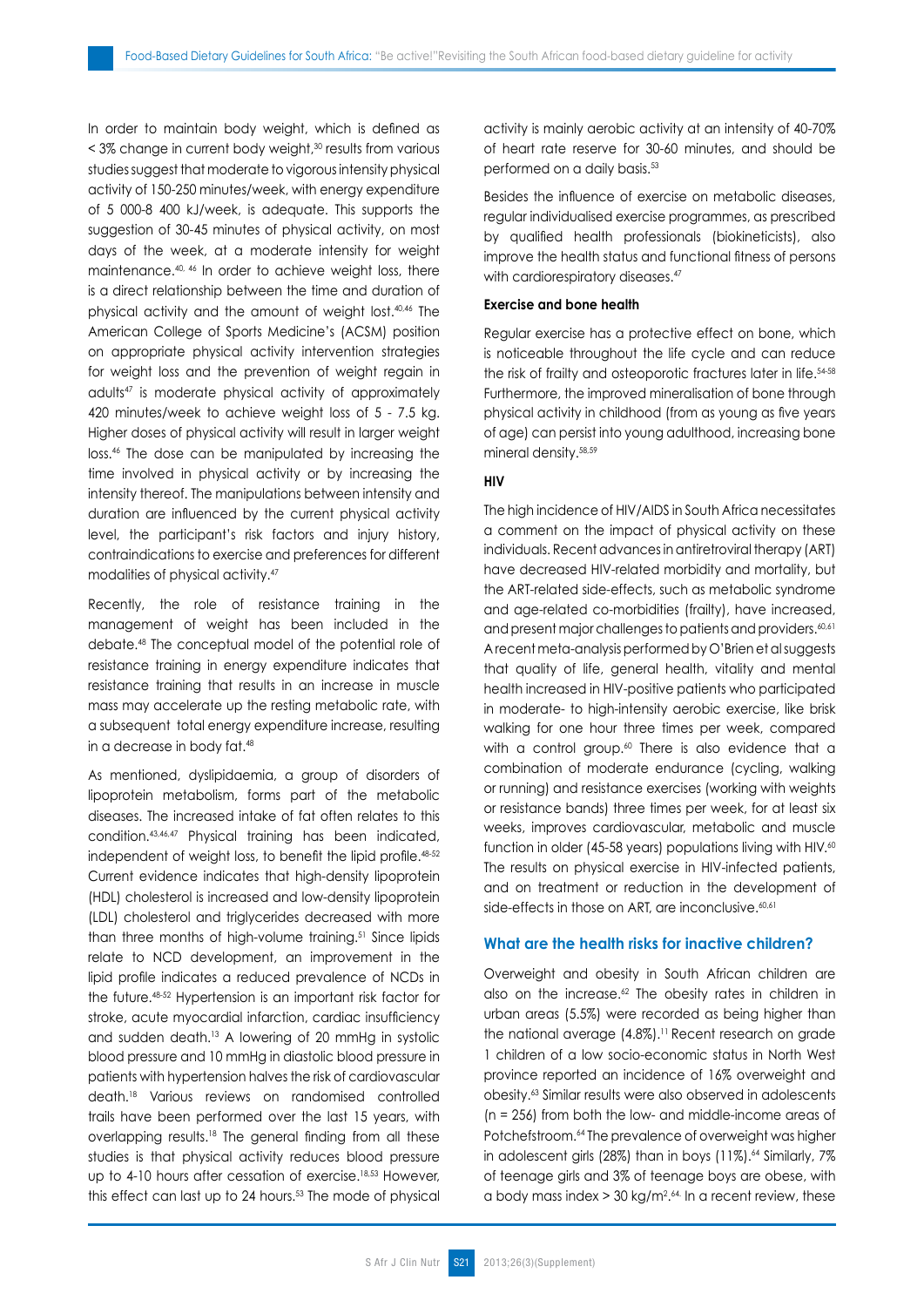In order to maintain body weight, which is defined as  $\leq$  3% change in current body weight, $30$  results from various studies suggest that moderate to vigorous intensity physical activity of 150-250 minutes/week, with energy expenditure of 5 000-8 400 kJ/week, is adequate. This supports the suggestion of 30-45 minutes of physical activity, on most days of the week, at a moderate intensity for weight maintenance.40, 46 In order to achieve weight loss, there is a direct relationship between the time and duration of physical activity and the amount of weight lost.40,46 The American College of Sports Medicine's (ACSM) position on appropriate physical activity intervention strategies for weight loss and the prevention of weight regain in adults47 is moderate physical activity of approximately 420 minutes/week to achieve weight loss of 5 - 7.5 kg. Higher doses of physical activity will result in larger weight loss.46 The dose can be manipulated by increasing the time involved in physical activity or by increasing the intensity thereof. The manipulations between intensity and duration are influenced by the current physical activity level, the participant's risk factors and injury history, contraindications to exercise and preferences for different modalities of physical activity.47

Recently, the role of resistance training in the management of weight has been included in the debate.48 The conceptual model of the potential role of resistance training in energy expenditure indicates that resistance training that results in an increase in muscle mass may accelerate up the resting metabolic rate, with a subsequent total energy expenditure increase, resulting in a decrease in body fat.48

As mentioned, dyslipidaemia, a group of disorders of lipoprotein metabolism, forms part of the metabolic diseases. The increased intake of fat often relates to this condition.43,46,47 Physical training has been indicated, independent of weight loss, to benefit the lipid profile.<sup>48-52</sup> Current evidence indicates that high-density lipoprotein (HDL) cholesterol is increased and low-density lipoprotein (LDL) cholesterol and triglycerides decreased with more than three months of high-volume training.<sup>51</sup> Since lipids relate to NCD development, an improvement in the lipid profile indicates a reduced prevalence of NCDs in the future.48-52 Hypertension is an important risk factor for stroke, acute myocardial infarction, cardiac insufficiency and sudden death.13 A lowering of 20 mmHg in systolic blood pressure and 10 mmHg in diastolic blood pressure in patients with hypertension halves the risk of cardiovascular death.18 Various reviews on randomised controlled trails have been performed over the last 15 years, with overlapping results.18 The general finding from all these studies is that physical activity reduces blood pressure up to 4-10 hours after cessation of exercise.<sup>18,53</sup> However, this effect can last up to 24 hours.53 The mode of physical activity is mainly aerobic activity at an intensity of 40-70% of heart rate reserve for 30-60 minutes, and should be performed on a daily basis.53

Besides the influence of exercise on metabolic diseases, regular individualised exercise programmes, as prescribed by qualified health professionals (biokineticists), also improve the health status and functional fitness of persons with cardiorespiratory diseases.<sup>47</sup>

#### **Exercise and bone health**

Regular exercise has a protective effect on bone, which is noticeable throughout the life cycle and can reduce the risk of frailty and osteoporotic fractures later in life.54-58 Furthermore, the improved mineralisation of bone through physical activity in childhood (from as young as five years of age) can persist into young adulthood, increasing bone mineral density.58,59

#### **HIV**

The high incidence of HIV/AIDS in South Africa necessitates a comment on the impact of physical activity on these individuals. Recent advances in antiretroviral therapy (ART) have decreased HIV-related morbidity and mortality, but the ART-related side-effects, such as metabolic syndrome and age-related co-morbidities (frailty), have increased, and present major challenges to patients and providers.<sup>60,61</sup> A recent meta-analysis performed by O'Brien et al suggests that quality of life, general health, vitality and mental health increased in HIV-positive patients who participated in moderate- to high-intensity aerobic exercise, like brisk walking for one hour three times per week, compared with a control group. $60$  There is also evidence that a combination of moderate endurance (cycling, walking or running) and resistance exercises (working with weights or resistance bands) three times per week, for at least six weeks, improves cardiovascular, metabolic and muscle function in older (45-58 years) populations living with HIV.<sup>60</sup> The results on physical exercise in HIV-infected patients, and on treatment or reduction in the development of side-effects in those on ART, are inconclusive.<sup>60,61</sup>

#### **What are the health risks for inactive children?**

Overweight and obesity in South African children are also on the increase.<sup>62</sup> The obesity rates in children in urban areas (5.5%) were recorded as being higher than the national average (4.8%).<sup>11</sup> Recent research on grade 1 children of a low socio-economic status in North West province reported an incidence of 16% overweight and obesity.63 Similar results were also observed in adolescents (n = 256) from both the low- and middle-income areas of Potchefstroom.<sup>64</sup> The prevalence of overweight was higher in adolescent girls (28%) than in boys (11%).<sup>64</sup> Similarly, 7% of teenage girls and 3% of teenage boys are obese, with a body mass index  $>$  30 kg/m<sup>2,64.</sup> In a recent review, these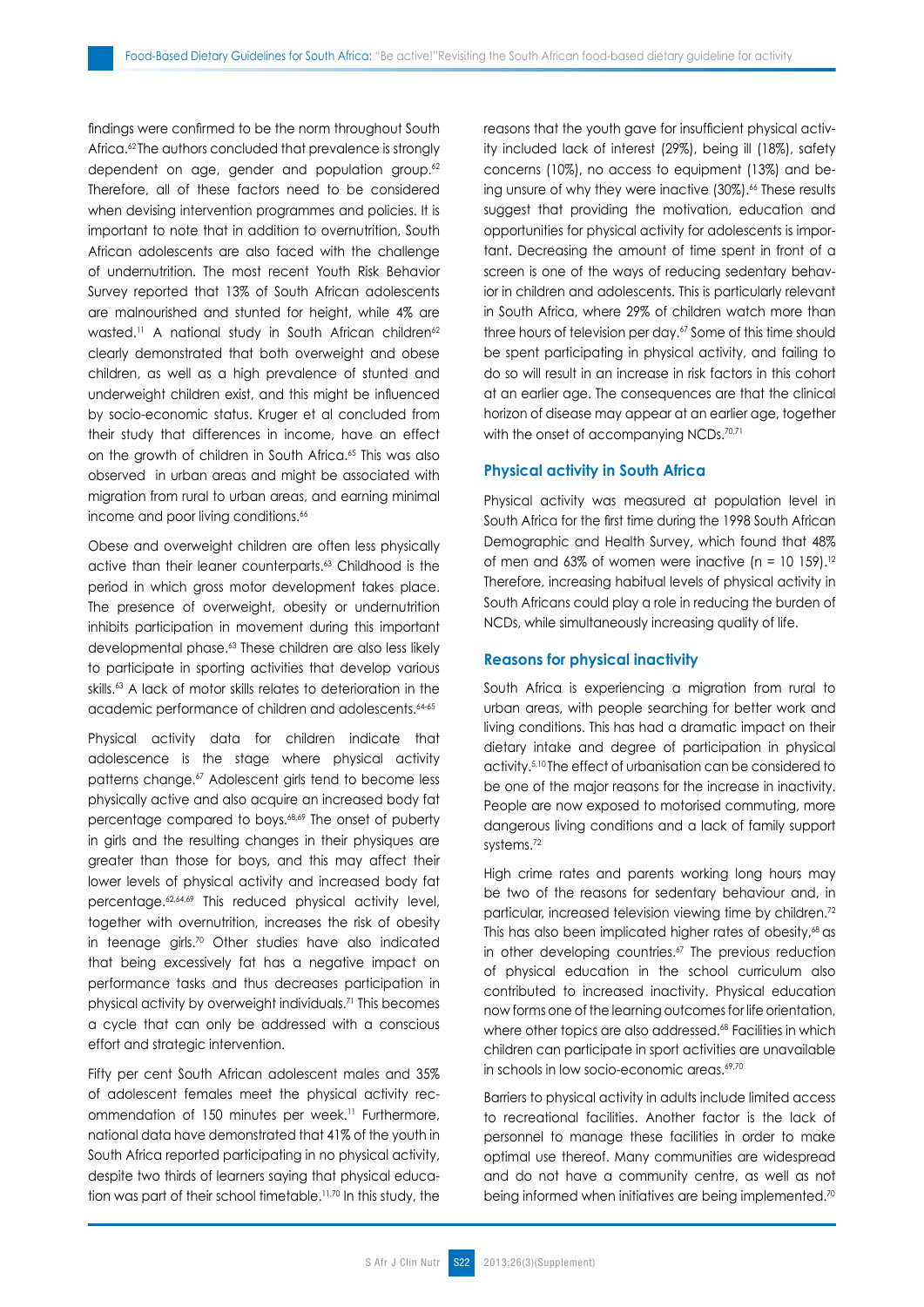findings were confirmed to be the norm throughout South Africa.<sup>62</sup> The authors concluded that prevalence is strongly dependent on age, gender and population group.<sup>62</sup> Therefore, all of these factors need to be considered when devising intervention programmes and policies. It is important to note that in addition to overnutrition, South African adolescents are also faced with the challenge of undernutrition. The most recent Youth Risk Behavior Survey reported that 13% of South African adolescents are malnourished and stunted for height, while 4% are wasted.<sup>11</sup> A national study in South African children<sup>62</sup> clearly demonstrated that both overweight and obese children, as well as a high prevalence of stunted and underweight children exist, and this might be influenced by socio-economic status. Kruger et al concluded from their study that differences in income, have an effect on the growth of children in South Africa.<sup>65</sup> This was also observed in urban areas and might be associated with migration from rural to urban areas, and earning minimal income and poor living conditions.<sup>66</sup>

Obese and overweight children are often less physically active than their leaner counterparts.<sup>63</sup> Childhood is the period in which gross motor development takes place. The presence of overweight, obesity or undernutrition inhibits participation in movement during this important developmental phase.<sup>63</sup> These children are also less likely to participate in sporting activities that develop various skills.<sup>63</sup> A lack of motor skills relates to deterioration in the academic performance of children and adolescents.<sup>64-65</sup>

Physical activity data for children indicate that adolescence is the stage where physical activity patterns change.<sup>67</sup> Adolescent girls tend to become less physically active and also acquire an increased body fat percentage compared to boys.68,69 The onset of puberty in girls and the resulting changes in their physiques are greater than those for boys, and this may affect their lower levels of physical activity and increased body fat percentage.62,64,69 This reduced physical activity level, together with overnutrition, increases the risk of obesity in teenage girls.70 Other studies have also indicated that being excessively fat has a negative impact on performance tasks and thus decreases participation in physical activity by overweight individuals.71 This becomes a cycle that can only be addressed with a conscious effort and strategic intervention.

Fifty per cent South African adolescent males and 35% of adolescent females meet the physical activity recommendation of 150 minutes per week.<sup>11</sup> Furthermore, national data have demonstrated that 41% of the youth in South Africa reported participating in no physical activity, despite two thirds of learners saying that physical education was part of their school timetable.11,70 In this study, the reasons that the youth gave for insufficient physical activity included lack of interest (29%), being ill (18%), safety concerns (10%), no access to equipment (13%) and being unsure of why they were inactive (30%).<sup>66</sup> These results suggest that providing the motivation, education and opportunities for physical activity for adolescents is important. Decreasing the amount of time spent in front of a screen is one of the ways of reducing sedentary behavior in children and adolescents. This is particularly relevant in South Africa, where 29% of children watch more than three hours of television per day.<sup>67</sup> Some of this time should be spent participating in physical activity, and failing to do so will result in an increase in risk factors in this cohort at an earlier age. The consequences are that the clinical horizon of disease may appear at an earlier age, together with the onset of accompanying NCDs.<sup>70,71</sup>

## **Physical activity in South Africa**

Physical activity was measured at population level in South Africa for the first time during the 1998 South African Demographic and Health Survey, which found that 48% of men and  $63\%$  of women were inactive (n = 10 159).<sup>12</sup> Therefore, increasing habitual levels of physical activity in South Africans could play a role in reducing the burden of NCDs, while simultaneously increasing quality of life.

## **Reasons for physical inactivity**

South Africa is experiencing a migration from rural to urban areas, with people searching for better work and living conditions. This has had a dramatic impact on their dietary intake and degree of participation in physical activity.5,10 The effect of urbanisation can be considered to be one of the major reasons for the increase in inactivity. People are now exposed to motorised commuting, more dangerous living conditions and a lack of family support systems.72

High crime rates and parents working long hours may be two of the reasons for sedentary behaviour and, in particular, increased television viewing time by children.72 This has also been implicated higher rates of obesity,<sup>68</sup> as in other developing countries.<sup>67</sup> The previous reduction of physical education in the school curriculum also contributed to increased inactivity. Physical education now forms one of the learning outcomes for life orientation, where other topics are also addressed.<sup>68</sup> Facilities in which children can participate in sport activities are unavailable in schools in low socio-economic areas.<sup>69,70</sup>

Barriers to physical activity in adults include limited access to recreational facilities. Another factor is the lack of personnel to manage these facilities in order to make optimal use thereof. Many communities are widespread and do not have a community centre, as well as not being informed when initiatives are being implemented.<sup>70</sup>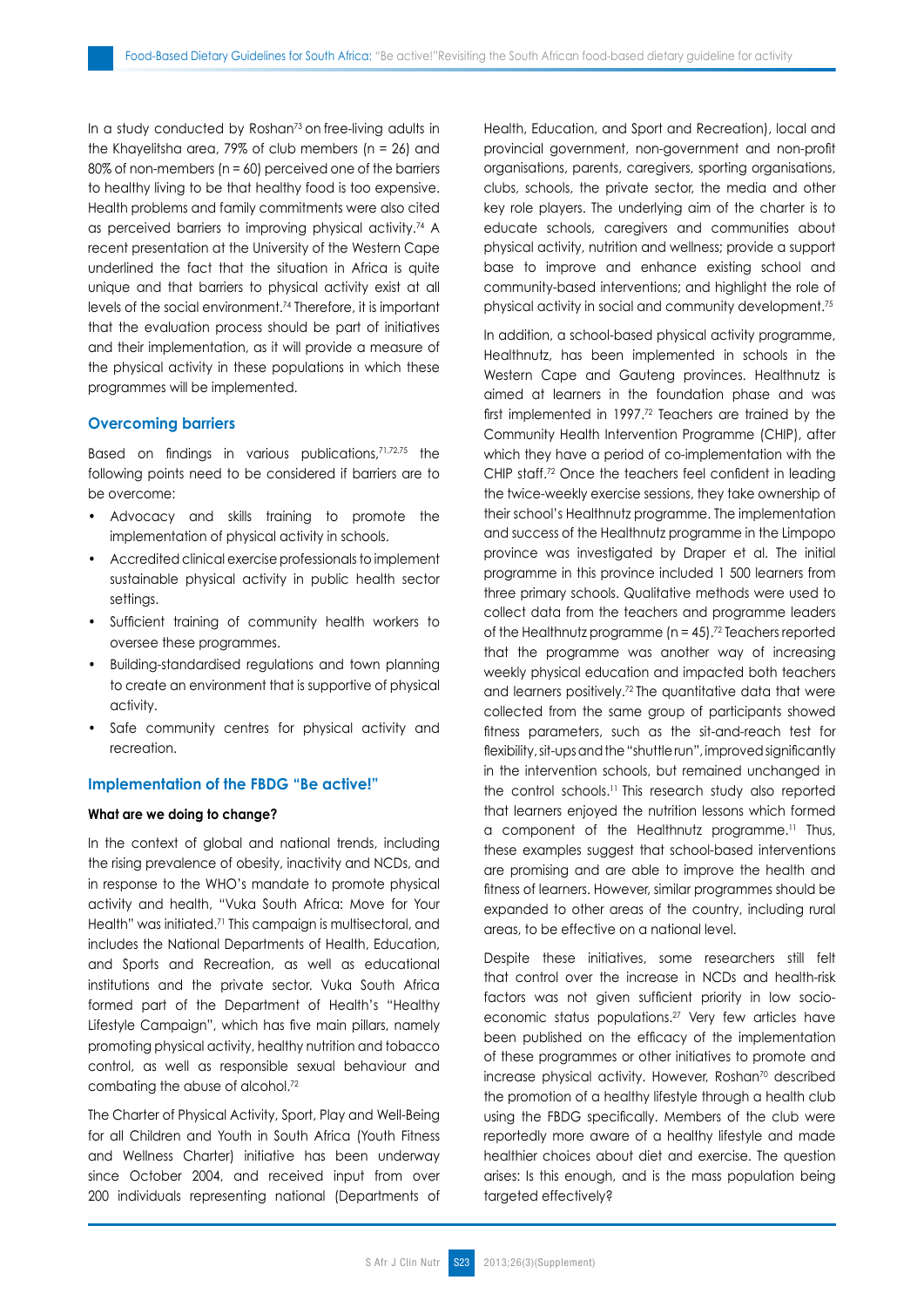In a study conducted by Roshan<sup>73</sup> on free-living adults in the Khayelitsha area, 79% of club members (n = 26) and 80% of non-members (n = 60) perceived one of the barriers to healthy living to be that healthy food is too expensive. Health problems and family commitments were also cited as perceived barriers to improving physical activity.74 A recent presentation at the University of the Western Cape underlined the fact that the situation in Africa is quite unique and that barriers to physical activity exist at all levels of the social environment.74 Therefore, it is important that the evaluation process should be part of initiatives and their implementation, as it will provide a measure of the physical activity in these populations in which these programmes will be implemented.

### **Overcoming barriers**

Based on findings in various publications, 71,72,75 the following points need to be considered if barriers are to be overcome:

- Advocacy and skills training to promote the implementation of physical activity in schools.
- Accredited clinical exercise professionals to implement sustainable physical activity in public health sector settings.
- Sufficient training of community health workers to oversee these programmes.
- Building-standardised regulations and town planning to create an environment that is supportive of physical activity.
- Safe community centres for physical activity and recreation.

#### **Implementation of the FBDG "Be active!"**

#### **What are we doing to change?**

In the context of global and national trends, including the rising prevalence of obesity, inactivity and NCDs, and in response to the WHO's mandate to promote physical activity and health, "Vuka South Africa: Move for Your Health" was initiated.<sup>71</sup> This campaign is multisectoral, and includes the National Departments of Health, Education, and Sports and Recreation, as well as educational institutions and the private sector. Vuka South Africa formed part of the Department of Health's "Healthy Lifestyle Campaign", which has five main pillars, namely promoting physical activity, healthy nutrition and tobacco control, as well as responsible sexual behaviour and combating the abuse of alcohol.<sup>72</sup>

The Charter of Physical Activity, Sport, Play and Well-Being for all Children and Youth in South Africa (Youth Fitness and Wellness Charter) initiative has been underway since October 2004, and received input from over 200 individuals representing national (Departments of Health, Education, and Sport and Recreation), local and provincial government, non-government and non-profit organisations, parents, caregivers, sporting organisations, clubs, schools, the private sector, the media and other key role players. The underlying aim of the charter is to educate schools, caregivers and communities about physical activity, nutrition and wellness; provide a support base to improve and enhance existing school and community-based interventions; and highlight the role of physical activity in social and community development.75

In addition, a school-based physical activity programme, Healthnutz, has been implemented in schools in the Western Cape and Gauteng provinces. Healthnutz is aimed at learners in the foundation phase and was first implemented in 1997.72 Teachers are trained by the Community Health Intervention Programme (CHIP), after which they have a period of co-implementation with the CHIP staff.72 Once the teachers feel confident in leading the twice-weekly exercise sessions, they take ownership of their school's Healthnutz programme. The implementation and success of the Healthnutz programme in the Limpopo province was investigated by Draper et al. The initial programme in this province included 1 500 learners from three primary schools. Qualitative methods were used to collect data from the teachers and programme leaders of the Healthnutz programme ( $n = 45$ ).<sup>72</sup> Teachers reported that the programme was another way of increasing weekly physical education and impacted both teachers and learners positively.72 The quantitative data that were collected from the same group of participants showed fitness parameters, such as the sit-and-reach test for flexibility, sit-ups and the "shuttle run", improved significantly in the intervention schools, but remained unchanged in the control schools.11 This research study also reported that learners enjoyed the nutrition lessons which formed a component of the Healthnutz programme.11 Thus, these examples suggest that school-based interventions are promising and are able to improve the health and fitness of learners. However, similar programmes should be expanded to other areas of the country, including rural areas, to be effective on a national level.

Despite these initiatives, some researchers still felt that control over the increase in NCDs and health-risk factors was not given sufficient priority in low socioeconomic status populations.27 Very few articles have been published on the efficacy of the implementation of these programmes or other initiatives to promote and increase physical activity. However, Roshan<sup>70</sup> described the promotion of a healthy lifestyle through a health club using the FBDG specifically. Members of the club were reportedly more aware of a healthy lifestyle and made healthier choices about diet and exercise. The question arises: Is this enough, and is the mass population being targeted effectively?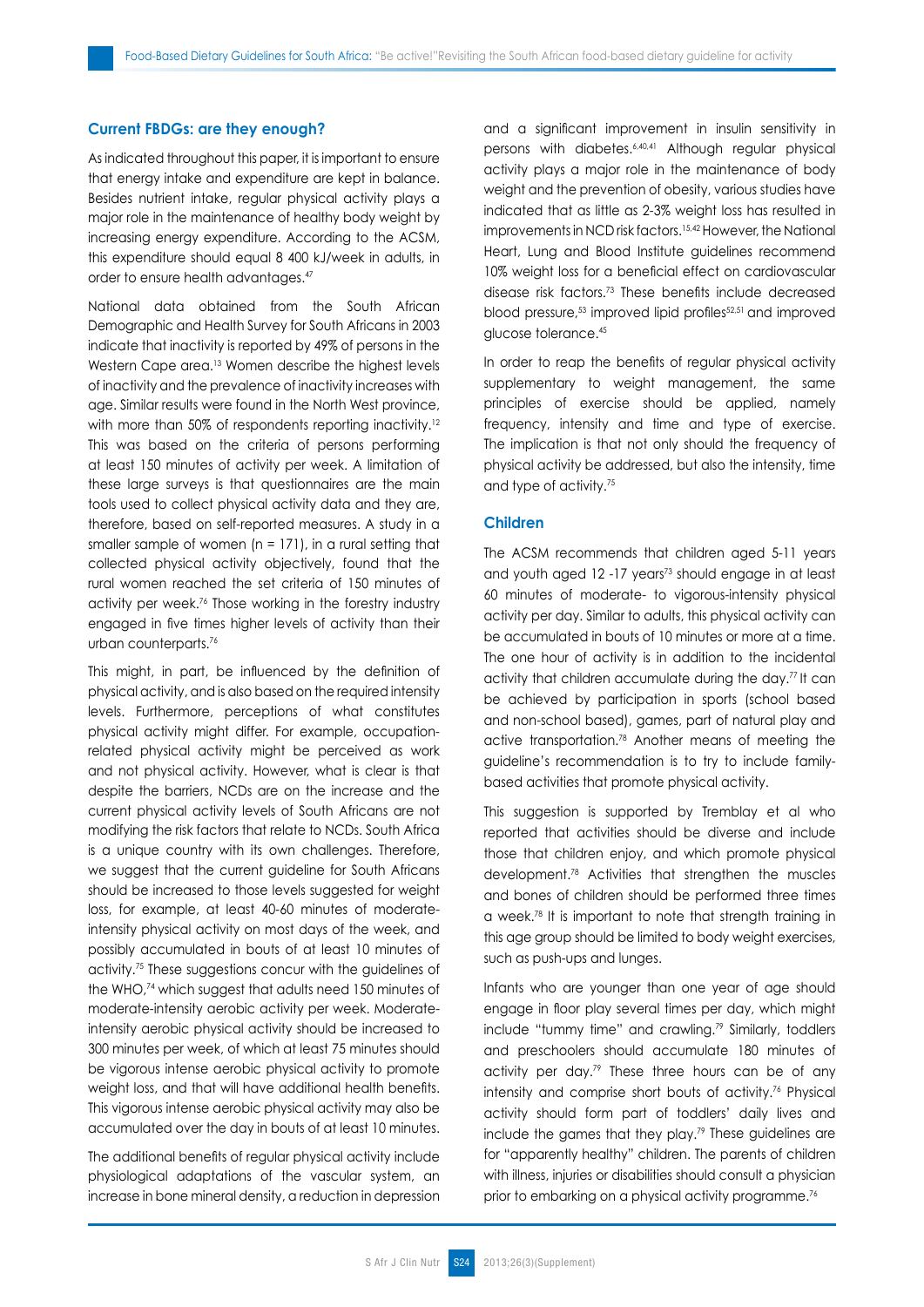#### **Current FBDGs: are they enough?**

As indicated throughout this paper, it is important to ensure that energy intake and expenditure are kept in balance. Besides nutrient intake, regular physical activity plays a major role in the maintenance of healthy body weight by increasing energy expenditure. According to the ACSM, this expenditure should equal 8 400 kJ/week in adults, in order to ensure health advantages.47

National data obtained from the South African Demographic and Health Survey for South Africans in 2003 indicate that inactivity is reported by 49% of persons in the Western Cape area.<sup>13</sup> Women describe the highest levels of inactivity and the prevalence of inactivity increases with age. Similar results were found in the North West province, with more than 50% of respondents reporting inactivity.<sup>12</sup> This was based on the criteria of persons performing at least 150 minutes of activity per week. A limitation of these large surveys is that questionnaires are the main tools used to collect physical activity data and they are, therefore, based on self-reported measures. A study in a smaller sample of women  $(n = 171)$ , in a rural setting that collected physical activity objectively, found that the rural women reached the set criteria of 150 minutes of activity per week.76 Those working in the forestry industry engaged in five times higher levels of activity than their urban counterparts.76

This might, in part, be influenced by the definition of physical activity, and is also based on the required intensity levels. Furthermore, perceptions of what constitutes physical activity might differ. For example, occupationrelated physical activity might be perceived as work and not physical activity. However, what is clear is that despite the barriers, NCDs are on the increase and the current physical activity levels of South Africans are not modifying the risk factors that relate to NCDs. South Africa is a unique country with its own challenges. Therefore, we suggest that the current guideline for South Africans should be increased to those levels suggested for weight loss, for example, at least 40-60 minutes of moderateintensity physical activity on most days of the week, and possibly accumulated in bouts of at least 10 minutes of activity.75 These suggestions concur with the guidelines of the WHO,74 which suggest that adults need 150 minutes of moderate-intensity aerobic activity per week. Moderateintensity aerobic physical activity should be increased to 300 minutes per week, of which at least 75 minutes should be vigorous intense aerobic physical activity to promote weight loss, and that will have additional health benefits. This vigorous intense aerobic physical activity may also be accumulated over the day in bouts of at least 10 minutes.

The additional benefits of regular physical activity include physiological adaptations of the vascular system, an increase in bone mineral density, a reduction in depression and a significant improvement in insulin sensitivity in persons with diabetes.6,40,41 Although regular physical activity plays a major role in the maintenance of body weight and the prevention of obesity, various studies have indicated that as little as 2-3% weight loss has resulted in improvements in NCD risk factors.<sup>15,42</sup> However, the National Heart, Lung and Blood Institute guidelines recommend 10% weight loss for a beneficial effect on cardiovascular disease risk factors.73 These benefits include decreased blood pressure,<sup>53</sup> improved lipid profiles<sup>52,51</sup> and improved glucose tolerance.45

In order to reap the benefits of regular physical activity supplementary to weight management, the same principles of exercise should be applied, namely frequency, intensity and time and type of exercise. The implication is that not only should the frequency of physical activity be addressed, but also the intensity, time and type of activity.75

## **Children**

The ACSM recommends that children aged 5-11 years and youth aged 12 -17 years<sup>73</sup> should engage in at least 60 minutes of moderate- to vigorous-intensity physical activity per day. Similar to adults, this physical activity can be accumulated in bouts of 10 minutes or more at a time. The one hour of activity is in addition to the incidental activity that children accumulate during the day.77 It can be achieved by participation in sports (school based and non-school based), games, part of natural play and active transportation.78 Another means of meeting the guideline's recommendation is to try to include familybased activities that promote physical activity.

This suggestion is supported by Tremblay et al who reported that activities should be diverse and include those that children enjoy, and which promote physical development.78 Activities that strengthen the muscles and bones of children should be performed three times a week.78 It is important to note that strength training in this age group should be limited to body weight exercises, such as push-ups and lunges.

Infants who are younger than one year of age should engage in floor play several times per day, which might include "tummy time" and crawling.79 Similarly, toddlers and preschoolers should accumulate 180 minutes of activity per day.<sup>79</sup> These three hours can be of any intensity and comprise short bouts of activity.<sup>76</sup> Physical activity should form part of toddlers' daily lives and include the games that they play.79 These guidelines are for "apparently healthy" children. The parents of children with illness, injuries or disabilities should consult a physician prior to embarking on a physical activity programme.<sup>76</sup>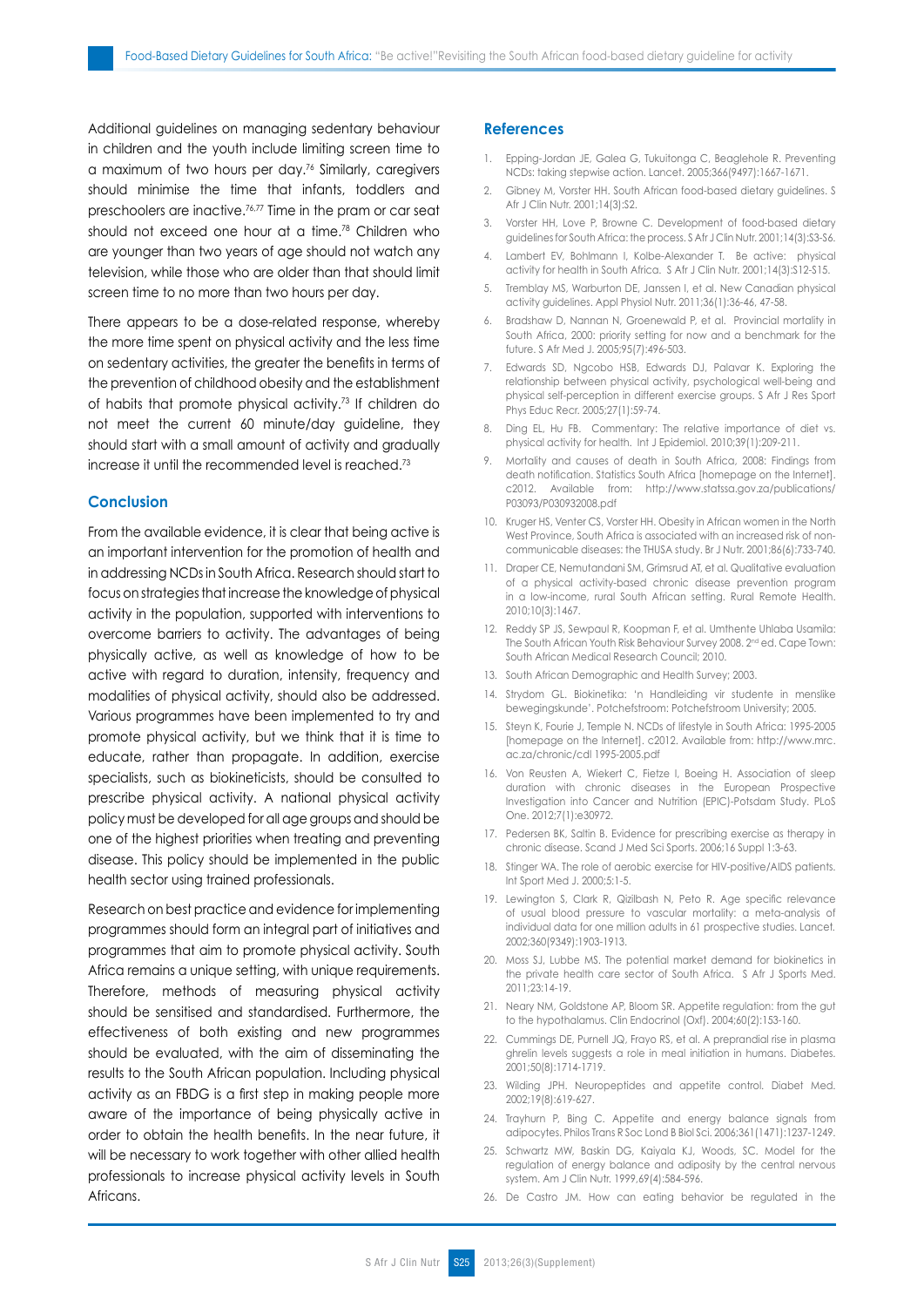Additional guidelines on managing sedentary behaviour in children and the youth include limiting screen time to a maximum of two hours per day.76 Similarly, caregivers should minimise the time that infants, toddlers and preschoolers are inactive.76,77 Time in the pram or car seat should not exceed one hour at a time.<sup>78</sup> Children who are younger than two years of age should not watch any television, while those who are older than that should limit screen time to no more than two hours per day.

There appears to be a dose-related response, whereby the more time spent on physical activity and the less time on sedentary activities, the greater the benefits in terms of the prevention of childhood obesity and the establishment of habits that promote physical activity.73 If children do not meet the current 60 minute/day guideline, they should start with a small amount of activity and gradually increase it until the recommended level is reached.73

## **Conclusion**

From the available evidence, it is clear that being active is an important intervention for the promotion of health and in addressing NCDs in South Africa. Research should start to focus on strategies that increase the knowledge of physical activity in the population, supported with interventions to overcome barriers to activity. The advantages of being physically active, as well as knowledge of how to be active with regard to duration, intensity, frequency and modalities of physical activity, should also be addressed. Various programmes have been implemented to try and promote physical activity, but we think that it is time to educate, rather than propagate. In addition, exercise specialists, such as biokineticists, should be consulted to prescribe physical activity. A national physical activity policy must be developed for all age groups and should be one of the highest priorities when treating and preventing disease. This policy should be implemented in the public health sector using trained professionals.

Research on best practice and evidence for implementing programmes should form an integral part of initiatives and programmes that aim to promote physical activity. South Africa remains a unique setting, with unique requirements. Therefore, methods of measuring physical activity should be sensitised and standardised. Furthermore, the effectiveness of both existing and new programmes should be evaluated, with the aim of disseminating the results to the South African population. Including physical activity as an FBDG is a first step in making people more aware of the importance of being physically active in order to obtain the health benefits. In the near future, it will be necessary to work together with other allied health professionals to increase physical activity levels in South Africans.

#### **References**

- 1. Epping-Jordan JE, Galea G, Tukuitonga C, Beaglehole R. Preventing NCDs: taking stepwise action. Lancet. 2005;366(9497):1667-1671.
- 2. Gibney M, Vorster HH. South African food-based dietary guidelines. S Afr J Clin Nutr. 2001;14(3):S2.
- 3. Vorster HH, Love P, Browne C. Development of food-based dietary guidelines for South Africa: the process. S Afr J Clin Nutr. 2001;14(3):S3-S6.
- 4. Lambert EV, Bohlmann I, Kolbe-Alexander T. Be active: physical activity for health in South Africa. S Afr J Clin Nutr. 2001;14(3):S12-S15.
- 5. Tremblay MS, Warburton DE, Janssen I, et al. New Canadian physical activity guidelines. Appl Physiol Nutr. 2011;36(1):36-46, 47-58.
- 6. Bradshaw D, Nannan N, Groenewald P, et al. Provincial mortality in South Africa, 2000: priority setting for now and a benchmark for the future. S Afr Med J. 2005;95(7):496-503.
- 7. Edwards SD, Ngcobo HSB, Edwards DJ, Palavar K. Exploring the relationship between physical activity, psychological well-being and physical self-perception in different exercise groups. S Afr J Res Sport Phys Educ Recr. 2005;27(1):59-74.
- 8. Ding EL, Hu FB. Commentary: The relative importance of diet vs. physical activity for health. Int J Epidemiol. 2010;39(1):209-211.
- 9. Mortality and causes of death in South Africa, 2008: Findings from death notification. Statistics South Africa [homepage on the Internet]. c2012. Available from: http://www.statssa.gov.za/publications/ P03093/P030932008.pdf
- 10. Kruger HS, Venter CS, Vorster HH. Obesity in African women in the North West Province, South Africa is associated with an increased risk of noncommunicable diseases: the THUSA study. Br J Nutr. 2001;86(6):733-740.
- 11. Draper CE, Nemutandani SM, Grimsrud AT, et al. Qualitative evaluation of a physical activity-based chronic disease prevention program in a low-income, rural South African setting. Rural Remote Health. 2010;10(3):1467.
- 12. Reddy SP JS, Sewpaul R, Koopman F, et al. Umthente Uhlaba Usamila: The South African Youth Risk Behaviour Survey 2008. 2<sup>nd</sup> ed. Cape Town: South African Medical Research Council; 2010.
- 13. South African Demographic and Health Survey; 2003.
- 14. Strydom GL. Biokinetika: 'n Handleiding vir studente in menslike bewegingskunde'. Potchefstroom: Potchefstroom University; 2005.
- 15. Steyn K, Fourie J, Temple N. NCDs of lifestyle in South Africa: 1995-2005 [homepage on the Internet]. c2012. Available from: http://www.mrc. ac.za/chronic/cdl 1995-2005.pdf
- 16. Von Reusten A, Wiekert C, Fietze I, Boeing H. Association of sleep duration with chronic diseases in the European Prospective Investigation into Cancer and Nutrition (EPIC)-Potsdam Study. PLoS One. 2012;7(1):e30972.
- 17. Pedersen BK, Saltin B. Evidence for prescribing exercise as therapy in chronic disease. Scand J Med Sci Sports. 2006;16 Suppl 1:3-63.
- 18. Stinger WA. The role of aerobic exercise for HIV-positive/AIDS patients. Int Sport Med J. 2000;5:1-5.
- 19. Lewington S, Clark R, Qizilbash N, Peto R. Age specific relevance of usual blood pressure to vascular mortality: a meta-analysis of individual data for one million adults in 61 prospective studies. Lancet*.*  2002;360(9349):1903-1913.
- 20. Moss SJ, Lubbe MS. The potential market demand for biokinetics in the private health care sector of South Africa. S Afr J Sports Med. 2011;23:14-19.
- 21. Neary NM, Goldstone AP, Bloom SR. Appetite regulation: from the gut to the hypothalamus. Clin Endocrinol (Oxf). 2004;60(2):153-160.
- 22. Cummings DE, Purnell JQ, Frayo RS, et al. A preprandial rise in plasma ghrelin levels suggests a role in meal initiation in humans. Diabetes. 2001;50(8):1714-1719.
- 23. Wilding JPH. Neuropeptides and appetite control. Diabet Med. 2002;19(8):619-627.
- 24. Trayhurn P, Bing C. Appetite and energy balance signals from adipocytes. Philos Trans R Soc Lond B Biol Sci. 2006;361(1471):1237-1249.
- 25. Schwartz MW, Baskin DG, Kaiyala KJ, Woods, SC. Model for the regulation of energy balance and adiposity by the central nervous system. Am J Clin Nutr. 1999,69(4):584-596.
- 26. De Castro JM. How can eating behavior be regulated in the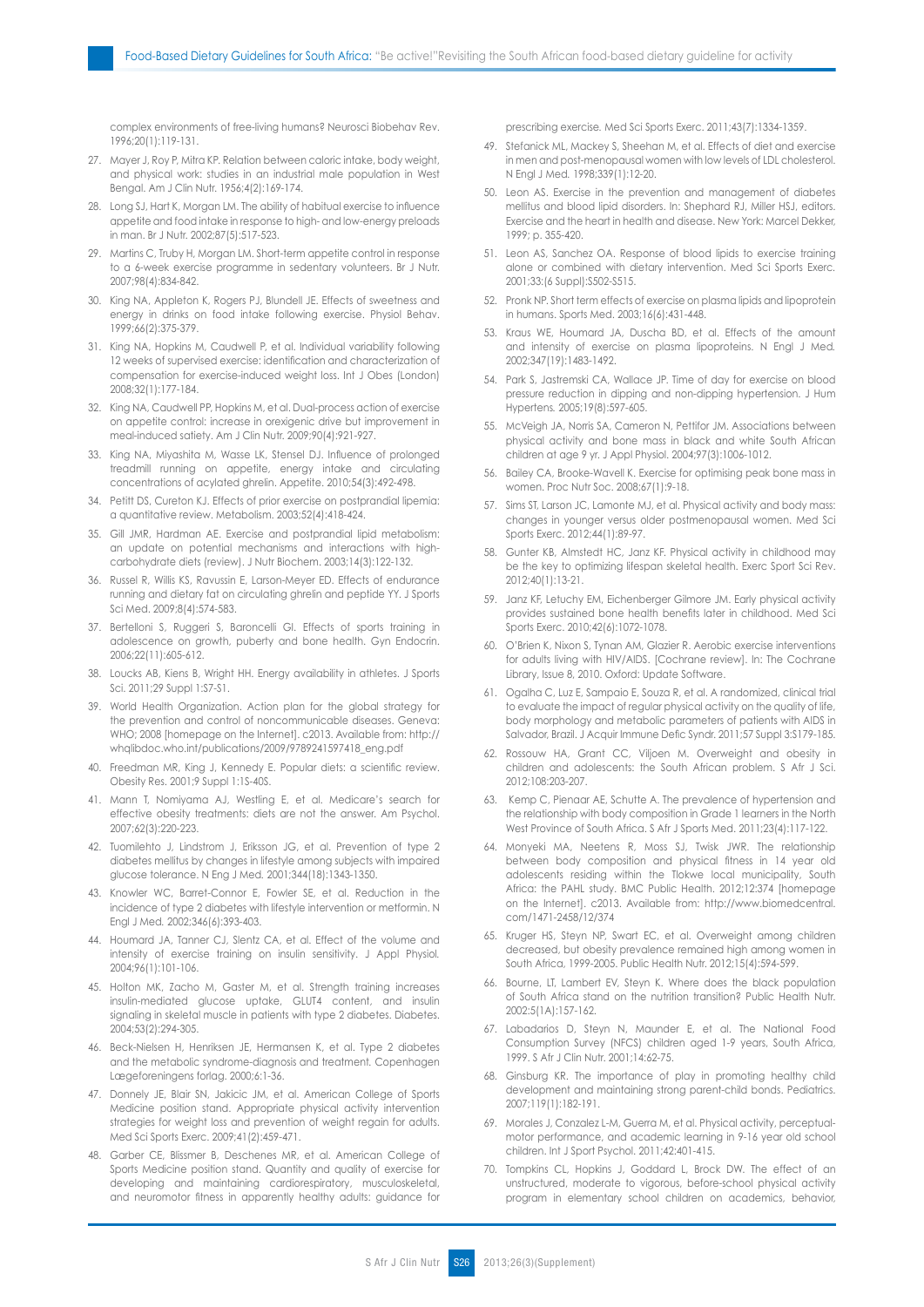complex environments of free-living humans? Neurosci Biobehav Rev. 1996;20(1):119-131.

- 27. Mayer J, Roy P, Mitra KP. Relation between caloric intake, body weight, and physical work: studies in an industrial male population in West Bengal. Am J Clin Nutr. 1956;4(2):169-174.
- 28. Long SJ, Hart K, Morgan LM. The ability of habitual exercise to influence appetite and food intake in response to high- and low-energy preloads in man. Br J Nutr. 2002;87(5):517-523.
- 29. Martins C, Truby H, Morgan LM. Short-term appetite control in response to a 6-week exercise programme in sedentary volunteers. Br J Nutr. 2007;98(4):834-842.
- 30. King NA, Appleton K, Rogers PJ, Blundell JE. Effects of sweetness and energy in drinks on food intake following exercise. Physiol Behav. 1999;66(2):375-379.
- 31. King NA, Hopkins M, Caudwell P, et al. Individual variability following 12 weeks of supervised exercise: identification and characterization of compensation for exercise-induced weight loss. Int J Obes (London) 2008;32(1):177-184.
- 32. King NA, Caudwell PP, Hopkins M, et al. Dual-process action of exercise on appetite control: increase in orexigenic drive but improvement in meal-induced satiety. Am J Clin Nutr. 2009;90(4):921-927.
- 33. King NA, Miyashita M, Wasse LK, Stensel DJ. Influence of prolonged treadmill running on appetite, energy intake and circulating concentrations of acylated ghrelin. Appetite. 2010;54(3):492-498.
- 34. Petitt DS, Cureton KJ. Effects of prior exercise on postprandial lipemia: a quantitative review. Metabolism. 2003;52(4):418-424.
- 35. Gill JMR, Hardman AE. Exercise and postprandial lipid metabolism: an update on potential mechanisms and interactions with highcarbohydrate diets (review). J Nutr Biochem. 2003;14(3):122-132.
- 36. Russel R, Willis KS, Ravussin E, Larson-Meyer ED. Effects of endurance running and dietary fat on circulating ghrelin and peptide YY. J Sports Sci Med. 2009;8(4):574-583.
- 37. Bertelloni S, Ruggeri S, Baroncelli GI. Effects of sports training in adolescence on growth, puberty and bone health. Gyn Endocrin. 2006;22(11):605-612.
- 38. Loucks AB, Kiens B, Wright HH. Energy availability in athletes. J Sports Sci. 2011;29 Suppl 1:S7-S1.
- 39. World Health Organization. Action plan for the global strategy for the prevention and control of noncommunicable diseases. Geneva: WHO; 2008 [homepage on the Internet]. c2013. Available from: http:// whqlibdoc.who.int/publications/2009/9789241597418\_eng.pdf
- 40. Freedman MR, King J, Kennedy E. Popular diets: a scientific review. Obesity Res. 2001;9 Suppl 1:1S-40S.
- 41. Mann T, Nomiyama AJ, Westling E, et al. Medicare's search for effective obesity treatments: diets are not the answer. Am Psychol. 2007;62(3):220-223.
- 42. Tuomilehto J, Lindstrom J, Eriksson JG, et al. Prevention of type 2 diabetes mellitus by changes in lifestyle among subjects with impaired glucose tolerance. N Eng J Med*.* 2001;344(18):1343-1350.
- 43. Knowler WC, Barret-Connor E, Fowler SE, et al. Reduction in the incidence of type 2 diabetes with lifestyle intervention or metformin. N Engl J Med*.* 2002;346(6):393-403.
- 44. Houmard JA, Tanner CJ, Slentz CA, et al. Effect of the volume and intensity of exercise training on insulin sensitivity. J Appl Physiol*.*  2004;96(1):101-106.
- 45. Holton MK, Zacho M, Gaster M, et al. Strength training increases insulin-mediated glucose uptake, GLUT4 content, and insulin signaling in skeletal muscle in patients with type 2 diabetes. Diabetes. 2004;53(2):294-305.
- 46. Beck-Nielsen H, Henriksen JE, Hermansen K, et al. Type 2 diabetes and the metabolic syndrome-diagnosis and treatment*.* Copenhagen Lægeforeningens forlag. 2000;6:1-36.
- 47. Donnely JE, Blair SN, Jakicic JM, et al. American College of Sports Medicine position stand. Appropriate physical activity intervention strategies for weight loss and prevention of weight regain for adults. Med Sci Sports Exerc. 2009;41(2):459-471.
- 48. Garber CE, Blissmer B, Deschenes MR, et al. American College of Sports Medicine position stand. Quantity and quality of exercise for developing and maintaining cardiorespiratory, musculoskeletal, and neuromotor fitness in apparently healthy adults: guidance for

prescribing exercise*.* Med Sci Sports Exerc. 2011;43(7):1334-1359.

- 49. Stefanick ML, Mackey S, Sheehan M, et al. Effects of diet and exercise in men and post-menopausal women with low levels of LDL cholesterol. N Engl J Med*.* 1998;339(1):12-20.
- 50. Leon AS. Exercise in the prevention and management of diabetes mellitus and blood lipid disorders. In: Shephard RJ, Miller HSJ, editors. Exercise and the heart in health and disease. New York: Marcel Dekker, 1999; p. 355-420.
- 51. Leon AS, Sanchez OA. Response of blood lipids to exercise training alone or combined with dietary intervention. Med Sci Sports Exerc*.*  2001;33:(6 Suppl):S502-S515.
- 52. Pronk NP. Short term effects of exercise on plasma lipids and lipoprotein in humans. Sports Med. 2003;16(6):431-448.
- 53. Kraus WE, Houmard JA, Duscha BD, et al. Effects of the amount and intensity of exercise on plasma lipoproteins. N Engl J Med*.*  2002;347(19):1483-1492.
- 54. Park S, Jastremski CA, Wallace JP. Time of day for exercise on blood pressure reduction in dipping and non-dipping hypertension. J Hum Hypertens*.* 2005;19(8):597-605.
- 55. McVeigh JA, Norris SA, Cameron N, Pettifor JM. Associations between physical activity and bone mass in black and white South African children at age 9 yr. J Appl Physiol. 2004;97(3):1006-1012.
- 56. Bailey CA, Brooke-Wavell K. Exercise for optimising peak bone mass in women. Proc Nutr Soc. 2008;67(1):9-18.
- 57. Sims ST, Larson JC, Lamonte MJ, et al. Physical activity and body mass: changes in younger versus older postmenopausal women. Med Sci Sports Exerc. 2012;44(1):89-97.
- 58. Gunter KB, Almstedt HC, Janz KF. Physical activity in childhood may be the key to optimizing lifespan skeletal health. Exerc Sport Sci Rev. 2012;40(1):13-21.
- 59. Janz KF, Letuchy EM, Eichenberger Gilmore JM. Early physical activity provides sustained bone health benefits later in childhood. Med Sci Sports Exerc. 2010;42(6):1072-1078.
- 60. O'Brien K, Nixon S, Tynan AM, Glazier R. Aerobic exercise interventions for adults living with HIV/AIDS. [Cochrane review]. In: The Cochrane Library, Issue 8, 2010. Oxford: Update Software.
- 61. Ogalha C, Luz E, Sampaio E, Souza R, et al. A randomized, clinical trial to evaluate the impact of regular physical activity on the quality of life, body morphology and metabolic parameters of patients with AIDS in Salvador, Brazil. J Acquir Immune Defic Syndr. 2011;57 Suppl 3:S179-185.
- 62. Rossouw HA, Grant CC, Viljoen M. Overweight and obesity in children and adolescents: the South African problem. S Afr J Sci. 2012;108:203-207.
- Kemp C, Pienaar AE, Schutte A. The prevalence of hypertension and the relationship with body composition in Grade 1 learners in the North West Province of South Africa. S Afr J Sports Med. 2011;23(4):117-122.
- 64. Monyeki MA, Neetens R, Moss SJ, Twisk JWR. The relationship between body composition and physical fitness in 14 year old adolescents residing within the Tlokwe local municipality, South Africa: the PAHL study. BMC Public Health. 2012;12:374 [homepage on the Internet]. c2013. Available from: http://www.biomedcentral. com/1471-2458/12/374
- 65. Kruger HS, Steyn NP, Swart EC, et al. Overweight among children decreased, but obesity prevalence remained high among women in South Africa, 1999-2005. Public Health Nutr. 2012;15(4):594-599.
- 66. Bourne, LT, Lambert EV, Steyn K. Where does the black population of South Africa stand on the nutrition transition? Public Health Nutr. 2002:5(1A):157-162.
- 67. Labadarios D, Steyn N, Maunder E, et al. The National Food Consumption Survey (NFCS) children aged 1-9 years, South Africa, 1999. S Afr J Clin Nutr. 2001;14:62-75.
- 68. Ginsburg KR. The importance of play in promoting healthy child development and maintaining strong parent-child bonds. Pediatrics. 2007;119(1):182-191.
- 69. Morales J, Conzalez L-M, Guerra M, et al. Physical activity, perceptualmotor performance, and academic learning in 9-16 year old school children. Int J Sport Psychol. 2011;42:401-415.
- 70. Tompkins CL, Hopkins J, Goddard L, Brock DW. The effect of an unstructured, moderate to vigorous, before-school physical activity program in elementary school children on academics, behavior,